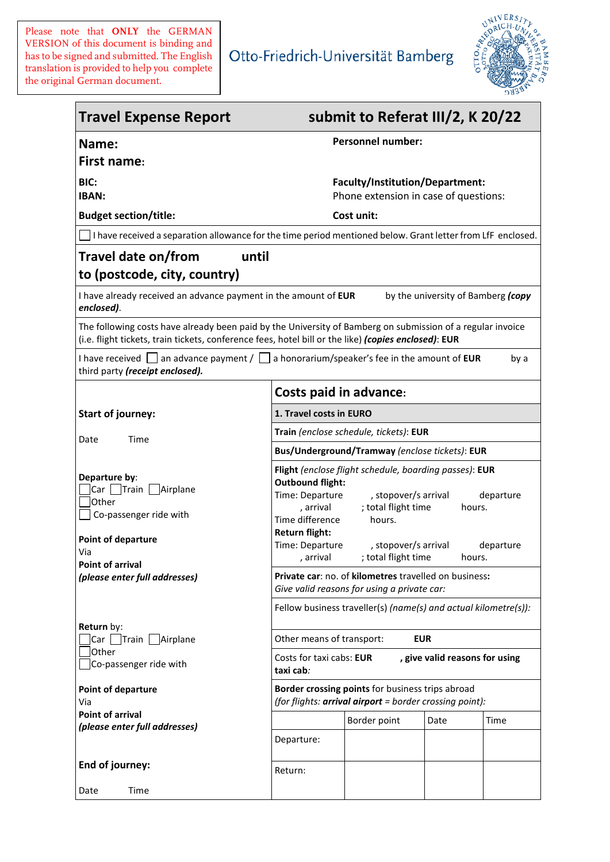Please note that **ONLY** the GERMAN VERSION of this document is binding and has to be signed and submitted. The English translation is provided to help you complete the original German document.



| <b>Travel Expense Report</b>                                                                                                                                                                                  | submit to Referat III/2, K 20/22                                                                                                                                                                                                                                                                                                             |
|---------------------------------------------------------------------------------------------------------------------------------------------------------------------------------------------------------------|----------------------------------------------------------------------------------------------------------------------------------------------------------------------------------------------------------------------------------------------------------------------------------------------------------------------------------------------|
| Name:<br><b>First name:</b>                                                                                                                                                                                   | <b>Personnel number:</b>                                                                                                                                                                                                                                                                                                                     |
| BIC:<br><b>IBAN:</b>                                                                                                                                                                                          | Faculty/Institution/Department:<br>Phone extension in case of questions:                                                                                                                                                                                                                                                                     |
| <b>Budget section/title:</b>                                                                                                                                                                                  | Cost unit:                                                                                                                                                                                                                                                                                                                                   |
|                                                                                                                                                                                                               | I have received a separation allowance for the time period mentioned below. Grant letter from LfF enclosed.                                                                                                                                                                                                                                  |
| Travel date on/from<br>to (postcode, city, country)                                                                                                                                                           | until                                                                                                                                                                                                                                                                                                                                        |
| I have already received an advance payment in the amount of EUR<br>enclosed).                                                                                                                                 | by the university of Bamberg (copy                                                                                                                                                                                                                                                                                                           |
|                                                                                                                                                                                                               | The following costs have already been paid by the University of Bamberg on submission of a regular invoice<br>(i.e. flight tickets, train tickets, conference fees, hotel bill or the like) (copies enclosed): EUR                                                                                                                           |
| third party (receipt enclosed).                                                                                                                                                                               | I have received $\Box$ an advance payment / $\Box$ a honorarium/speaker's fee in the amount of <b>EUR</b><br>by a                                                                                                                                                                                                                            |
|                                                                                                                                                                                                               | <b>Costs paid in advance:</b>                                                                                                                                                                                                                                                                                                                |
| <b>Start of journey:</b><br>Date<br>Time<br>Departure by:<br>Car Train   Airplane<br>Other<br>Co-passenger ride with<br>Point of departure<br>Via<br><b>Point of arrival</b><br>(please enter full addresses) | 1. Travel costs in EURO                                                                                                                                                                                                                                                                                                                      |
|                                                                                                                                                                                                               | Train (enclose schedule, tickets): EUR                                                                                                                                                                                                                                                                                                       |
|                                                                                                                                                                                                               | Bus/Underground/Tramway (enclose tickets): EUR                                                                                                                                                                                                                                                                                               |
|                                                                                                                                                                                                               | Flight (enclose flight schedule, boarding passes): EUR<br><b>Outbound flight:</b><br>Time: Departure<br>, stopover/s arrival<br>departure<br>; total flight time<br>, arrival<br>hours.<br>Time difference<br>hours.<br>Return flight:<br>Time: Departure<br>, stopover/s arrival<br>departure<br>; total flight time<br>, arrival<br>hours. |
|                                                                                                                                                                                                               | Private car: no. of kilometres travelled on business:<br>Give valid reasons for using a private car:                                                                                                                                                                                                                                         |
|                                                                                                                                                                                                               | Fellow business traveller(s) (name(s) and actual kilometre(s)):                                                                                                                                                                                                                                                                              |
| Return by:<br>Car   Train   Airplane                                                                                                                                                                          | Other means of transport:<br><b>EUR</b>                                                                                                                                                                                                                                                                                                      |
| Other<br>Co-passenger ride with                                                                                                                                                                               | Costs for taxi cabs: EUR<br>, give valid reasons for using<br>taxi cab:                                                                                                                                                                                                                                                                      |
| <b>Point of departure</b><br>Via                                                                                                                                                                              | Border crossing points for business trips abroad<br>(for flights: arrival airport = border crossing point):                                                                                                                                                                                                                                  |
| <b>Point of arrival</b><br>(please enter full addresses)                                                                                                                                                      | Border point<br>Date<br>Time                                                                                                                                                                                                                                                                                                                 |
|                                                                                                                                                                                                               | Departure:                                                                                                                                                                                                                                                                                                                                   |
| End of journey:                                                                                                                                                                                               | Return:                                                                                                                                                                                                                                                                                                                                      |
| Time<br>Date                                                                                                                                                                                                  |                                                                                                                                                                                                                                                                                                                                              |